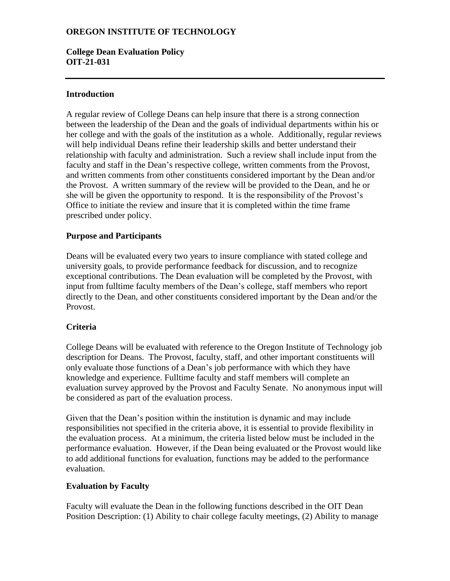# **OREGON INSTITUTE OF TECHNOLOGY**

### **College Dean Evaluation Policy OIT-21-031**

### **Introduction**

A regular review of College Deans can help insure that there is a strong connection between the leadership of the Dean and the goals of individual departments within his or her college and with the goals of the institution as a whole. Additionally, regular reviews will help individual Deans refine their leadership skills and better understand their relationship with faculty and administration. Such a review shall include input from the faculty and staff in the Dean's respective college, written comments from the Provost, and written comments from other constituents considered important by the Dean and/or the Provost. A written summary of the review will be provided to the Dean, and he or she will be given the opportunity to respond. It is the responsibility of the Provost's Office to initiate the review and insure that it is completed within the time frame prescribed under policy.

### **Purpose and Participants**

Deans will be evaluated every two years to insure compliance with stated college and university goals, to provide performance feedback for discussion, and to recognize exceptional contributions. The Dean evaluation will be completed by the Provost, with input from fulltime faculty members of the Dean's college, staff members who report directly to the Dean, and other constituents considered important by the Dean and/or the Provost.

# **Criteria**

College Deans will be evaluated with reference to the Oregon Institute of Technology job description for Deans. The Provost, faculty, staff, and other important constituents will only evaluate those functions of a Dean's job performance with which they have knowledge and experience. Fulltime faculty and staff members will complete an evaluation survey approved by the Provost and Faculty Senate. No anonymous input will be considered as part of the evaluation process.

Given that the Dean's position within the institution is dynamic and may include responsibilities not specified in the criteria above, it is essential to provide flexibility in the evaluation process. At a minimum, the criteria listed below must be included in the performance evaluation. However, if the Dean being evaluated or the Provost would like to add additional functions for evaluation, functions may be added to the performance evaluation.

### **Evaluation by Faculty**

Faculty will evaluate the Dean in the following functions described in the OIT Dean Position Description: (1) Ability to chair college faculty meetings, (2) Ability to manage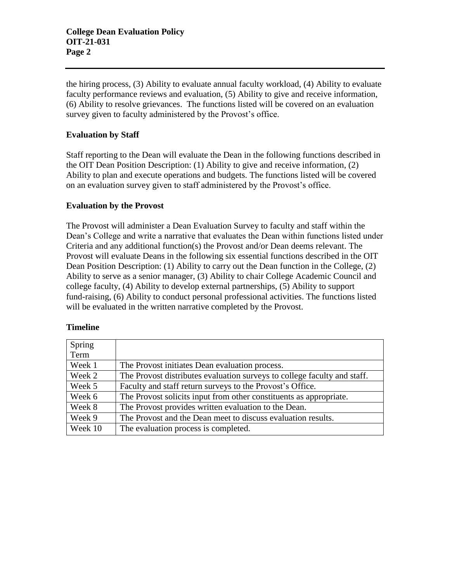the hiring process, (3) Ability to evaluate annual faculty workload, (4) Ability to evaluate faculty performance reviews and evaluation, (5) Ability to give and receive information, (6) Ability to resolve grievances. The functions listed will be covered on an evaluation survey given to faculty administered by the Provost's office.

### **Evaluation by Staff**

Staff reporting to the Dean will evaluate the Dean in the following functions described in the OIT Dean Position Description: (1) Ability to give and receive information, (2) Ability to plan and execute operations and budgets. The functions listed will be covered on an evaluation survey given to staff administered by the Provost's office.

### **Evaluation by the Provost**

The Provost will administer a Dean Evaluation Survey to faculty and staff within the Dean's College and write a narrative that evaluates the Dean within functions listed under Criteria and any additional function(s) the Provost and/or Dean deems relevant. The Provost will evaluate Deans in the following six essential functions described in the OIT Dean Position Description: (1) Ability to carry out the Dean function in the College, (2) Ability to serve as a senior manager, (3) Ability to chair College Academic Council and college faculty, (4) Ability to develop external partnerships, (5) Ability to support fund-raising, (6) Ability to conduct personal professional activities. The functions listed will be evaluated in the written narrative completed by the Provost.

### **Timeline**

| Spring  |                                                                          |
|---------|--------------------------------------------------------------------------|
| Term    |                                                                          |
| Week 1  | The Provost initiates Dean evaluation process.                           |
| Week 2  | The Provost distributes evaluation surveys to college faculty and staff. |
| Week 5  | Faculty and staff return surveys to the Provost's Office.                |
| Week 6  | The Provost solicits input from other constituents as appropriate.       |
| Week 8  | The Provost provides written evaluation to the Dean.                     |
| Week 9  | The Provost and the Dean meet to discuss evaluation results.             |
| Week 10 | The evaluation process is completed.                                     |